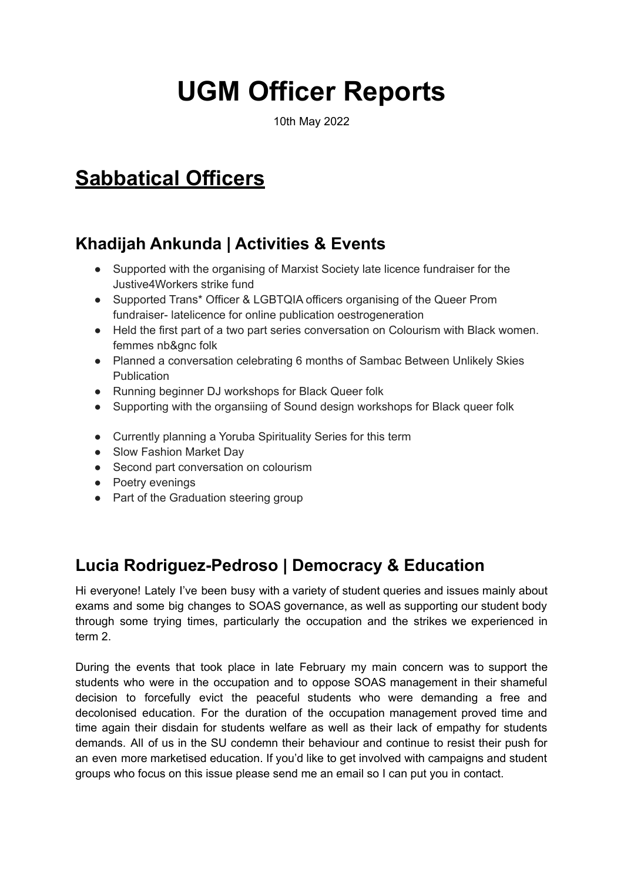# **UGM Officer Reports**

10th May 2022

# **Sabbatical Officers**

# **Khadijah Ankunda | Activities & Events**

- Supported with the organising of Marxist Society late licence fundraiser for the Justive4Workers strike fund
- Supported Trans\* Officer & LGBTQIA officers organising of the Queer Prom fundraiser- latelicence for online publication oestrogeneration
- Held the first part of a two part series conversation on Colourism with Black women. femmes nb&gnc folk
- Planned a conversation celebrating 6 months of Sambac Between Unlikely Skies Publication
- Running beginner DJ workshops for Black Queer folk
- Supporting with the organsiing of Sound design workshops for Black queer folk
- Currently planning a Yoruba Spirituality Series for this term
- Slow Fashion Market Day
- Second part conversation on colourism
- Poetry evenings
- Part of the Graduation steering group

# **Lucia Rodriguez-Pedroso | Democracy & Education**

Hi everyone! Lately I've been busy with a variety of student queries and issues mainly about exams and some big changes to SOAS governance, as well as supporting our student body through some trying times, particularly the occupation and the strikes we experienced in term 2.

During the events that took place in late February my main concern was to support the students who were in the occupation and to oppose SOAS management in their shameful decision to forcefully evict the peaceful students who were demanding a free and decolonised education. For the duration of the occupation management proved time and time again their disdain for students welfare as well as their lack of empathy for students demands. All of us in the SU condemn their behaviour and continue to resist their push for an even more marketised education. If you'd like to get involved with campaigns and student groups who focus on this issue please send me an email so I can put you in contact.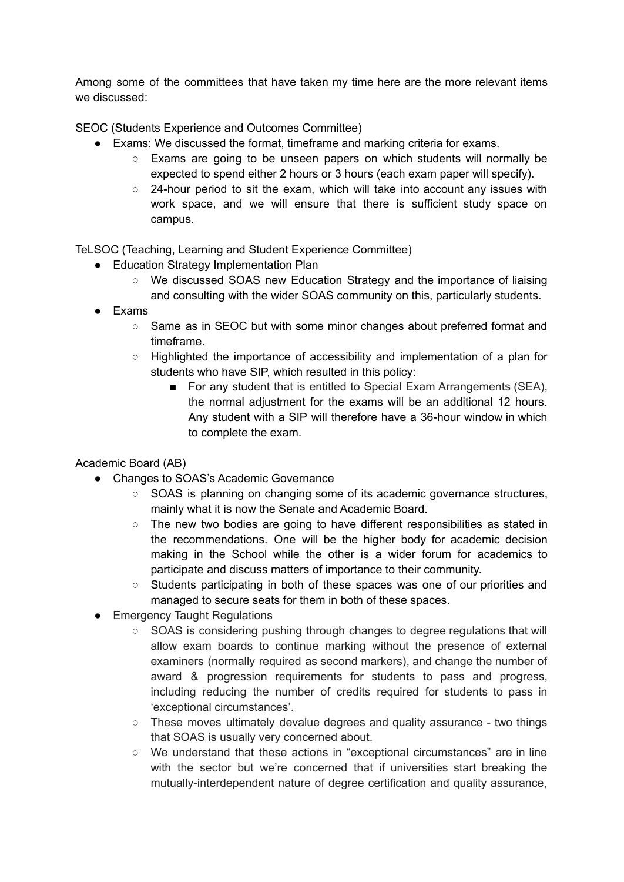Among some of the committees that have taken my time here are the more relevant items we discussed:

SEOC (Students Experience and Outcomes Committee)

- Exams: We discussed the format, timeframe and marking criteria for exams.
	- Exams are going to be unseen papers on which students will normally be expected to spend either 2 hours or 3 hours (each exam paper will specify).
	- 24-hour period to sit the exam, which will take into account any issues with work space, and we will ensure that there is sufficient study space on campus.

TeLSOC (Teaching, Learning and Student Experience Committee)

- Education Strategy Implementation Plan
	- We discussed SOAS new Education Strategy and the importance of liaising and consulting with the wider SOAS community on this, particularly students.
- Exams
	- Same as in SEOC but with some minor changes about preferred format and timeframe.
	- Highlighted the importance of accessibility and implementation of a plan for students who have SIP, which resulted in this policy:
		- For any student that is entitled to Special Exam Arrangements (SEA), the normal adjustment for the exams will be an additional 12 hours. Any student with a SIP will therefore have a 36-hour window in which to complete the exam.

Academic Board (AB)

- Changes to SOAS's Academic Governance
	- SOAS is planning on changing some of its academic governance structures, mainly what it is now the Senate and Academic Board.
	- $\circ$  The new two bodies are going to have different responsibilities as stated in the recommendations. One will be the higher body for academic decision making in the School while the other is a wider forum for academics to participate and discuss matters of importance to their community.
	- Students participating in both of these spaces was one of our priorities and managed to secure seats for them in both of these spaces.
- Emergency Taught Regulations
	- SOAS is considering pushing through changes to degree regulations that will allow exam boards to continue marking without the presence of external examiners (normally required as second markers), and change the number of award & progression requirements for students to pass and progress, including reducing the number of credits required for students to pass in 'exceptional circumstances'.
	- These moves ultimately devalue degrees and quality assurance two things that SOAS is usually very concerned about.
	- We understand that these actions in "exceptional circumstances" are in line with the sector but we're concerned that if universities start breaking the mutually-interdependent nature of degree certification and quality assurance,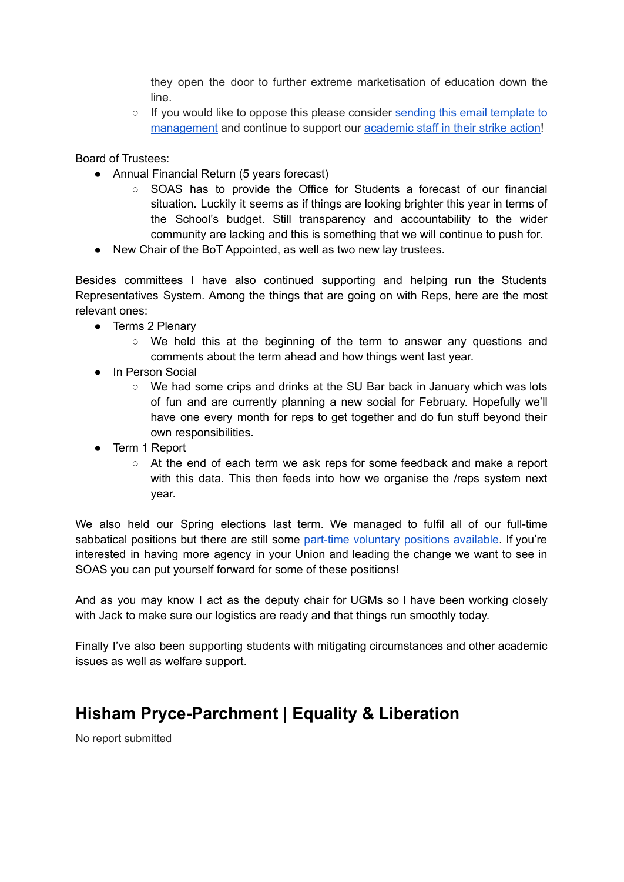they open the door to further extreme marketisation of education down the line.

○ If you would like to oppose this please consider sending this email [template](https://docs.google.com/document/d/1vEaeKgkSsSmVQ85X4m1vQ3YI19nx5YTqJFOT0v6QzO4/edit) to [management](https://docs.google.com/document/d/1vEaeKgkSsSmVQ85X4m1vQ3YI19nx5YTqJFOT0v6QzO4/edit) and continue to support our [academic](https://www.ucu.org.uk/article/12256/UCU-members-back-marking-boycott-in-pension-dispute) staff in their strike action!

Board of Trustees:

- Annual Financial Return (5 years forecast)
	- SOAS has to provide the Office for Students a forecast of our financial situation. Luckily it seems as if things are looking brighter this year in terms of the School's budget. Still transparency and accountability to the wider community are lacking and this is something that we will continue to push for.
- New Chair of the BoT Appointed, as well as two new lay trustees.

Besides committees I have also continued supporting and helping run the Students Representatives System. Among the things that are going on with Reps, here are the most relevant ones:

- Terms 2 Plenary
	- $\circ$  We held this at the beginning of the term to answer any questions and comments about the term ahead and how things went last year.
- In Person Social
	- We had some crips and drinks at the SU Bar back in January which was lots of fun and are currently planning a new social for February. Hopefully we'll have one every month for reps to get together and do fun stuff beyond their own responsibilities.
- Term 1 Report
	- At the end of each term we ask reps for some feedback and make a report with this data. This then feeds into how we organise the /reps system next year.

We also held our Spring elections last term. We managed to fulfil all of our full-time sabbatical positions but there are still some part-time [voluntary](https://soasunion.org/yourunion/elections/) positions available. If you're interested in having more agency in your Union and leading the change we want to see in SOAS you can put yourself forward for some of these positions!

And as you may know I act as the deputy chair for UGMs so I have been working closely with Jack to make sure our logistics are ready and that things run smoothly today.

Finally I've also been supporting students with mitigating circumstances and other academic issues as well as welfare support.

### **Hisham Pryce-Parchment | Equality & Liberation**

No report submitted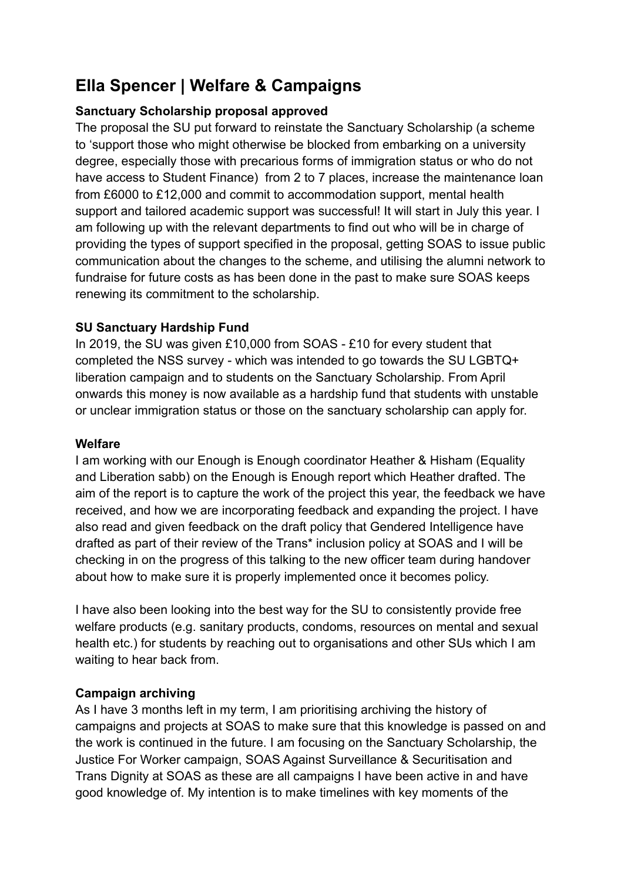# **Ella Spencer | Welfare & Campaigns**

#### **Sanctuary Scholarship proposal approved**

The proposal the SU put forward to reinstate the Sanctuary Scholarship (a scheme to 'support those who might otherwise be blocked from embarking on a university degree, especially those with precarious forms of immigration status or who do not have access to Student Finance) from 2 to 7 places, increase the maintenance loan from £6000 to £12,000 and commit to accommodation support, mental health support and tailored academic support was successful! It will start in July this year. I am following up with the relevant departments to find out who will be in charge of providing the types of support specified in the proposal, getting SOAS to issue public communication about the changes to the scheme, and utilising the alumni network to fundraise for future costs as has been done in the past to make sure SOAS keeps renewing its commitment to the scholarship.

#### **SU Sanctuary Hardship Fund**

In 2019, the SU was given £10,000 from SOAS - £10 for every student that completed the NSS survey - which was intended to go towards the SU LGBTQ+ liberation campaign and to students on the Sanctuary Scholarship. From April onwards this money is now available as a hardship fund that students with unstable or unclear immigration status or those on the sanctuary scholarship can apply for.

#### **Welfare**

I am working with our Enough is Enough coordinator Heather & Hisham (Equality and Liberation sabb) on the Enough is Enough report which Heather drafted. The aim of the report is to capture the work of the project this year, the feedback we have received, and how we are incorporating feedback and expanding the project. I have also read and given feedback on the draft policy that Gendered Intelligence have drafted as part of their review of the Trans\* inclusion policy at SOAS and I will be checking in on the progress of this talking to the new officer team during handover about how to make sure it is properly implemented once it becomes policy.

I have also been looking into the best way for the SU to consistently provide free welfare products (e.g. sanitary products, condoms, resources on mental and sexual health etc.) for students by reaching out to organisations and other SUs which I am waiting to hear back from.

#### **Campaign archiving**

As I have 3 months left in my term, I am prioritising archiving the history of campaigns and projects at SOAS to make sure that this knowledge is passed on and the work is continued in the future. I am focusing on the Sanctuary Scholarship, the Justice For Worker campaign, SOAS Against Surveillance & Securitisation and Trans Dignity at SOAS as these are all campaigns I have been active in and have good knowledge of. My intention is to make timelines with key moments of the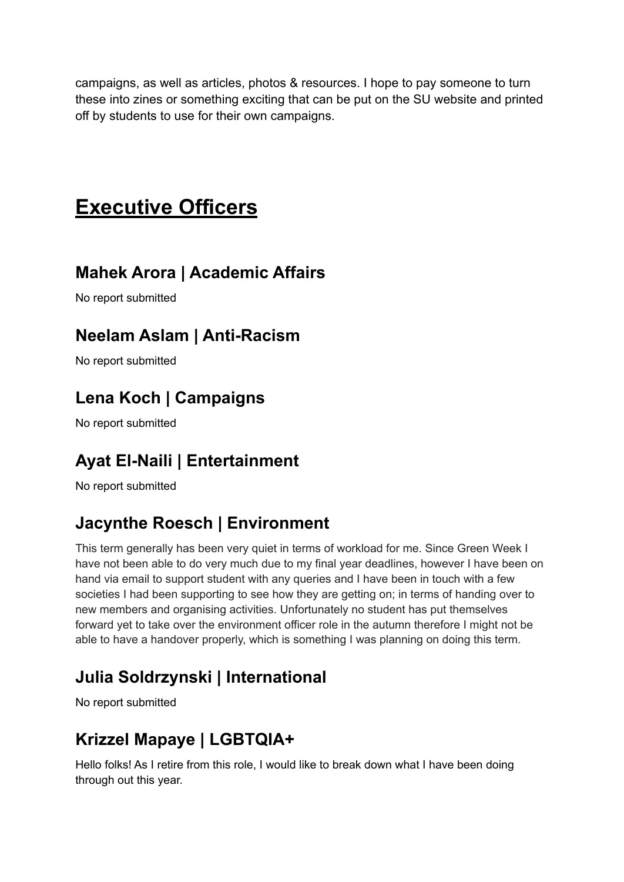campaigns, as well as articles, photos & resources. I hope to pay someone to turn these into zines or something exciting that can be put on the SU website and printed off by students to use for their own campaigns.

# **Executive Officers**

# **Mahek Arora | Academic Affairs**

No report submitted

# **Neelam Aslam | Anti-Racism**

No report submitted

# **Lena Koch | Campaigns**

No report submitted

# **Ayat El-Naili | Entertainment**

No report submitted

# **Jacynthe Roesch | Environment**

This term generally has been very quiet in terms of workload for me. Since Green Week I have not been able to do very much due to my final year deadlines, however I have been on hand via email to support student with any queries and I have been in touch with a few societies I had been supporting to see how they are getting on; in terms of handing over to new members and organising activities. Unfortunately no student has put themselves forward yet to take over the environment officer role in the autumn therefore I might not be able to have a handover properly, which is something I was planning on doing this term.

# **Julia Soldrzynski | International**

No report submitted

# **Krizzel Mapaye | LGBTQIA+**

Hello folks! As I retire from this role, I would like to break down what I have been doing through out this year.